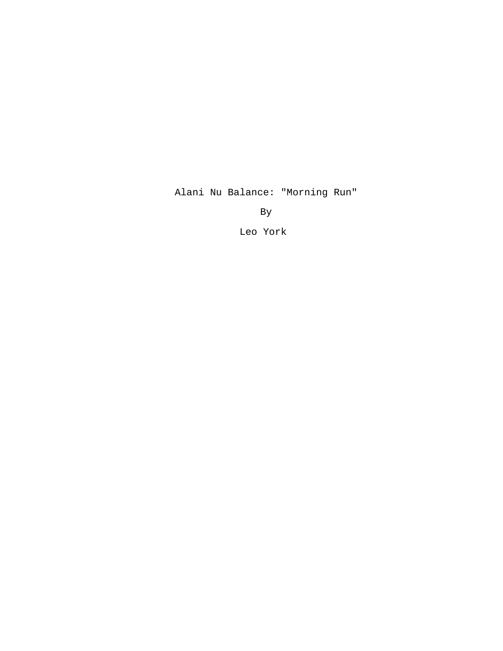Alani Nu Balance: "Morning Run"

By

Leo York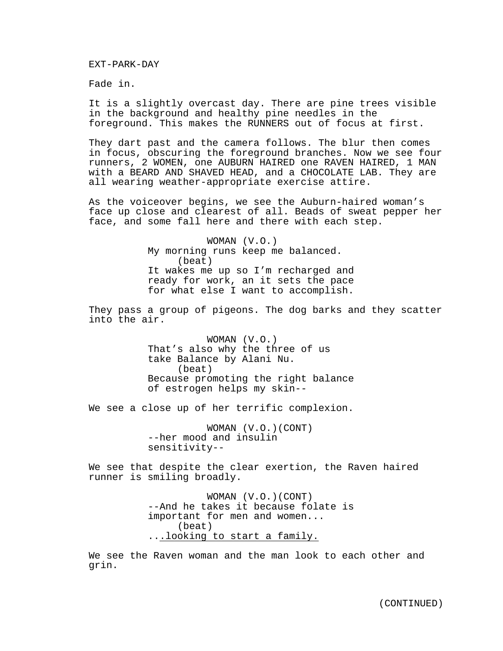EXT-PARK-DAY

Fade in.

It is a slightly overcast day. There are pine trees visible in the background and healthy pine needles in the foreground. This makes the RUNNERS out of focus at first.

They dart past and the camera follows. The blur then comes in focus, obscuring the foreground branches. Now we see four runners, 2 WOMEN, one AUBURN HAIRED one RAVEN HAIRED, 1 MAN with a BEARD AND SHAVED HEAD, and a CHOCOLATE LAB. They are all wearing weather-appropriate exercise attire.

As the voiceover begins, we see the Auburn-haired woman's face up close and clearest of all. Beads of sweat pepper her face, and some fall here and there with each step.

> WOMAN (V.O.) My morning runs keep me balanced. (beat) It wakes me up so I'm recharged and ready for work, an it sets the pace for what else I want to accomplish.

They pass a group of pigeons. The dog barks and they scatter into the air.

> WOMAN (V.O.) That's also why the three of us take Balance by Alani Nu. (beat) Because promoting the right balance of estrogen helps my skin--

We see a close up of her terrific complexion.

WOMAN (V.O.)(CONT) --her mood and insulin sensitivity--

We see that despite the clear exertion, the Raven haired runner is smiling broadly.

> WOMAN (V.O.)(CONT) --And he takes it because folate is important for men and women... (beat) ...looking to start a family.

We see the Raven woman and the man look to each other and grin.